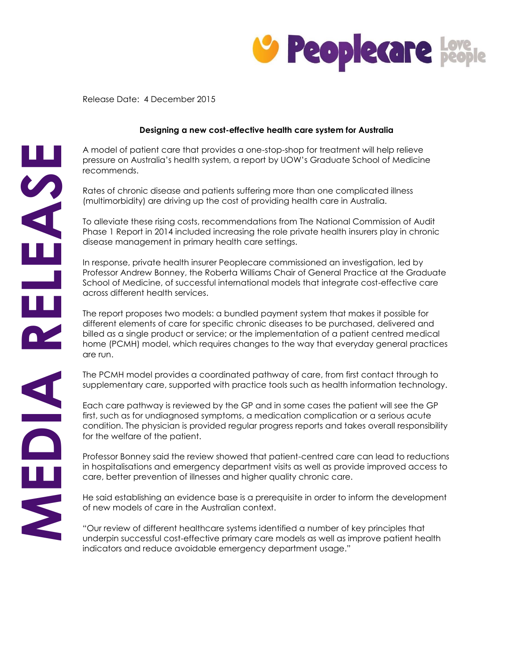

Release Date: 4 December 2015

## **Designing a new cost-effective health care system for Australia**

A model of patient care that provides a one-stop-shop for treatment will help relieve pressure on Australia's health system, a report by UOW's Graduate School of Medicine recommends.

Rates of chronic disease and patients suffering more than one complicated illness (multimorbidity) are driving up the cost of providing health care in Australia.

To alleviate these rising costs, recommendations from The National Commission of Audit Phase 1 Report in 2014 included increasing the role private health insurers play in chronic disease management in primary health care settings.

In response, private health insurer Peoplecare commissioned an investigation, led by Professor Andrew Bonney, the Roberta Williams Chair of General Practice at the Graduate School of Medicine, of successful international models that integrate cost-effective care across different health services.

The report proposes two models: a bundled payment system that makes it possible for different elements of care for specific chronic diseases to be purchased, delivered and billed as a single product or service; or the implementation of a patient centred medical home (PCMH) model, which requires changes to the way that everyday general practices are run.

The PCMH model provides a coordinated pathway of care, from first contact through to supplementary care, supported with practice tools such as health information technology.

Each care pathway is reviewed by the GP and in some cases the patient will see the GP first, such as for undiagnosed symptoms, a medication complication or a serious acute condition. The physician is provided regular progress reports and takes overall responsibility for the welfare of the patient.

Professor Bonney said the review showed that patient-centred care can lead to reductions in hospitalisations and emergency department visits as well as provide improved access to care, better prevention of illnesses and higher quality chronic care.

He said establishing an evidence base is a prerequisite in order to inform the development of new models of care in the Australian context.

"Our review of different healthcare systems identified a number of key principles that underpin successful cost-effective primary care models as well as improve patient health indicators and reduce avoidable emergency department usage."